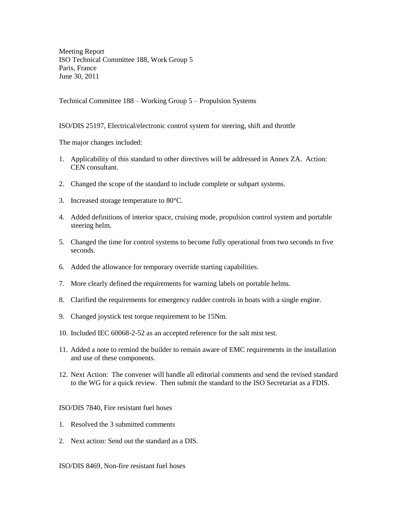Meeting Report ISO Technical Committee 188, Work Group 5 Paris, France June 30, 2011

Technical Committee 188 – Working Group 5 – Propulsion Systems

## ISO/DIS 25197, Electrical/electronic control system for steering, shift and throttle

The major changes included:

- 1. Applicability of this standard to other directives will be addressed in Annex ZA. Action: CEN consultant.
- 2. Changed the scope of the standard to include complete or subpart systems.
- 3. Increased storage temperature to 80°C.
- 4. Added definitions of interior space, cruising mode, propulsion control system and portable steering helm.
- 5. Changed the time for control systems to become fully operational from two seconds to five seconds.
- 6. Added the allowance for temporary override starting capabilities.
- 7. More clearly defined the requirements for warning labels on portable helms.
- 8. Clarified the requirements for emergency rudder controls in boats with a single engine.
- 9. Changed joystick test torque requirement to be 15Nm.
- 10. Included IEC 60068-2-52 as an accepted reference for the salt mist test.
- 11. Added a note to remind the builder to remain aware of EMC requirements in the installation and use of these components.
- 12. Next Action: The convener will handle all editorial comments and send the revised standard to the WG for a quick review. Then submit the standard to the ISO Secretariat as a FDIS.

ISO/DIS 7840, Fire resistant fuel hoses

- 1. Resolved the 3 submitted comments
- 2. Next action: Send out the standard as a DIS.

ISO/DIS 8469, Non-fire resistant fuel hoses